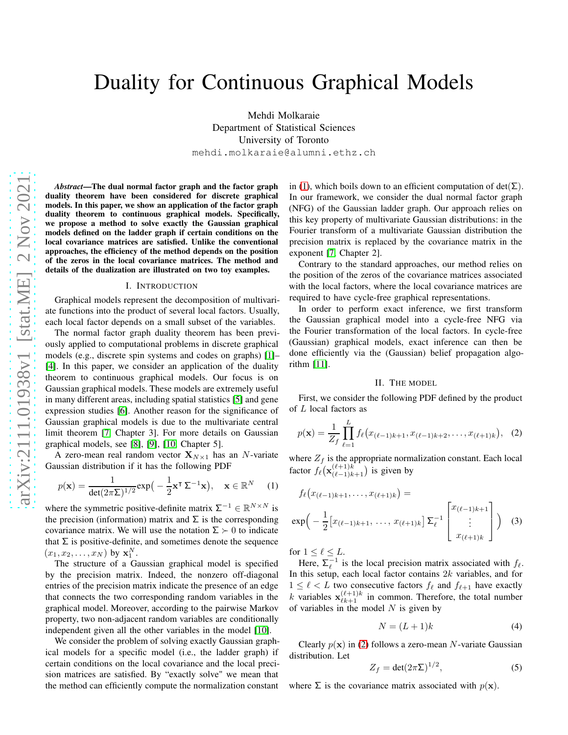# Duality for Continuous Graphical Models

Mehdi Molkaraie Department of Statistical Sciences University of Toronto mehdi.molkaraie@alumni.ethz.ch

*Abstract*—The dual normal factor graph and the factor graph duality theorem have been considered for discrete graphical models. In this paper, we show an application of the factor graph duality theorem to continuous graphical models. Specifically, we propose a method to solve exactly the Gaussian graphical models defined on the ladder graph if certain conditions on the local covariance matrices are satisfied. Unlike the conventional approaches, the efficiency of the method depends on the position of the zeros in the local covariance matrices. The method and details of the dualization are illustrated on two toy examples.

#### I. INTRODUCTION

Graphical models represent the decomposition of multivariate functions into the product of several local factors. Usually, each local factor depends on a small subset of the variables.

The normal factor graph duality theorem has been previously applied to computational problems in discrete graphical models (e.g., discrete spin systems and codes on graphs) [\[1\]](#page-5-0)– [\[4\]](#page-5-1). In this paper, we consider an application of the duality theorem to continuous graphical models. Our focus is on Gaussian graphical models. These models are extremely useful in many different areas, including spatial statistics [\[5\]](#page-5-2) and gene expression studies [\[6\]](#page-5-3). Another reason for the significance of Gaussian graphical models is due to the multivariate central limit theorem [\[7,](#page-5-4) Chapter 3]. For more details on Gaussian graphical models, see [\[8\]](#page-5-5), [\[9\]](#page-5-6), [\[10,](#page-5-7) Chapter 5].

A zero-mean real random vector  $X_{N\times 1}$  has an N-variate Gaussian distribution if it has the following PDF

<span id="page-0-0"></span>
$$
p(\mathbf{x}) = \frac{1}{\det(2\pi\Sigma)^{1/2}} \exp\left(-\frac{1}{2}\mathbf{x}^\mathsf{T}\Sigma^{-1}\mathbf{x}\right), \quad \mathbf{x} \in \mathbb{R}^N \tag{1}
$$

where the symmetric positive-definite matrix  $\Sigma^{-1} \in \mathbb{R}^{N \times N}$  is the precision (information) matrix and  $\Sigma$  is the corresponding covariance matrix. We will use the notation  $\Sigma \succ 0$  to indicate that  $\Sigma$  is positive-definite, and sometimes denote the sequence  $(x_1, x_2, \ldots, x_N)$  by  $\mathbf{x}_1^N$ .

The structure of a Gaussian graphical model is specified by the precision matrix. Indeed, the nonzero off-diagonal entries of the precision matrix indicate the presence of an edge that connects the two corresponding random variables in the graphical model. Moreover, according to the pairwise Markov property, two non-adjacent random variables are conditionally independent given all the other variables in the model [\[10\]](#page-5-7).

We consider the problem of solving exactly Gaussian graphical models for a specific model (i.e., the ladder graph) if certain conditions on the local covariance and the local precision matrices are satisfied. By "exactly solve" we mean that the method can efficiently compute the normalization constant

in [\(1\)](#page-0-0), which boils down to an efficient computation of det( $\Sigma$ ). In our framework, we consider the dual normal factor graph (NFG) of the Gaussian ladder graph. Our approach relies on this key property of multivariate Gaussian distributions: in the Fourier transform of a multivariate Gaussian distribution the precision matrix is replaced by the covariance matrix in the exponent [\[7,](#page-5-4) Chapter 2].

Contrary to the standard approaches, our method relies on the position of the zeros of the covariance matrices associated with the local factors, where the local covariance matrices are required to have cycle-free graphical representations.

In order to perform exact inference, we first transform the Gaussian graphical model into a cycle-free NFG via the Fourier transformation of the local factors. In cycle-free (Gaussian) graphical models, exact inference can then be done efficiently via the (Gaussian) belief propagation algorithm [\[11\]](#page-5-8).

## II. THE MODEL

First, we consider the following PDF defined by the product of L local factors as

<span id="page-0-1"></span>
$$
p(\mathbf{x}) = \frac{1}{Z_f} \prod_{\ell=1}^L f_\ell(x_{(\ell-1)k+1}, x_{(\ell-1)k+2}, \dots, x_{(\ell+1)k}), \tag{2}
$$

where  $Z_f$  is the appropriate normalization constant. Each local factor  $f_{\ell}(\mathbf{x}_{(\ell-1)k+1}^{(\ell+1)k})$  is given by

$$
f_{\ell}(x_{(\ell-1)k+1},\ldots,x_{(\ell+1)k}) =
$$
  
\n
$$
\exp\left(-\frac{1}{2}\left[x_{(\ell-1)k+1},\ldots,x_{(\ell+1)k}\right]\sum_{\ell}^{-1}\begin{bmatrix}x_{(\ell-1)k+1} \\ \vdots \\ x_{(\ell+1)k}\end{bmatrix}\right)
$$
 (3)

for  $1 \leq \ell \leq L$ .

Here,  $\sum_{\ell}^{-1}$  is the local precision matrix associated with  $f_{\ell}$ . In this setup, each local factor contains  $2k$  variables, and for  $1 \leq \ell < L$  two consecutive factors  $f_{\ell}$  and  $f_{\ell+1}$  have exactly k variables  $\mathbf{x}_{\ell k+1}^{(\ell+1)k}$  in common. Therefore, the total number of variables in the model  $N$  is given by

<span id="page-0-3"></span><span id="page-0-2"></span>
$$
N = (L+1)k \tag{4}
$$

Clearly  $p(x)$  in [\(2\)](#page-0-1) follows a zero-mean N-variate Gaussian distribution. Let

$$
Z_f = \det(2\pi\Sigma)^{1/2},\tag{5}
$$

where  $\Sigma$  is the covariance matrix associated with  $p(\mathbf{x})$ .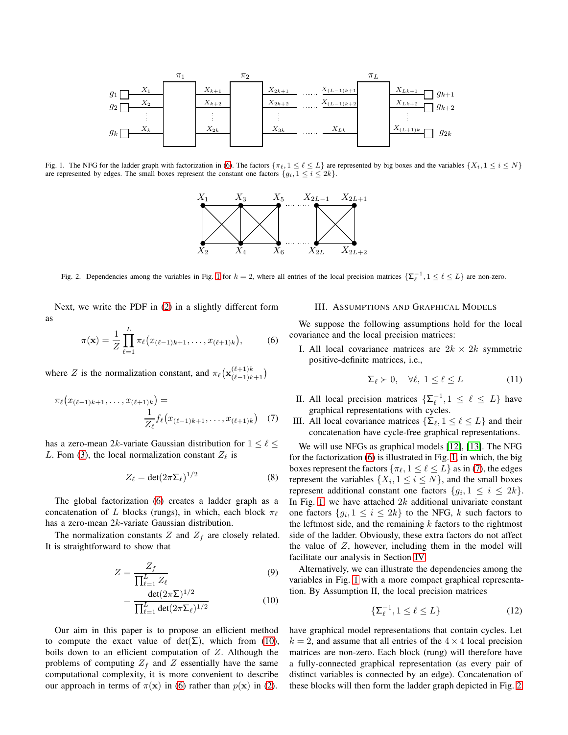

<span id="page-1-1"></span>Fig. 1. The NFG for the ladder graph with factorization in [\(6\)](#page-1-0). The factors  $\{\pi_\ell, 1 \leq \ell \leq L\}$  are represented by big boxes and the variables  $\{X_i, 1 \leq i \leq N\}$ are represented by edges. The small boxes represent the constant one factors  $\{g_i, 1 \leq i \leq 2k\}$ .



<span id="page-1-4"></span>Fig. 2. Dependencies among the variables in Fig. [1](#page-1-1) for  $k = 2$ , where all entries of the local precision matrices  $\{\Sigma_{\ell}^{-1}, 1 \leq \ell \leq L\}$  are non-zero.

Next, we write the PDF in [\(2\)](#page-0-1) in a slightly different form as

<span id="page-1-0"></span>
$$
\pi(\mathbf{x}) = \frac{1}{Z} \prod_{\ell=1}^{L} \pi_{\ell} (x_{(\ell-1)k+1}, \dots, x_{(\ell+1)k}), \tag{6}
$$

where Z is the normalization constant, and  $\pi_{\ell}(\mathbf{x}_{(\ell-1)k+1}^{(\ell+1)k})$ 

$$
\pi_{\ell}(x_{(\ell-1)k+1},\ldots,x_{(\ell+1)k}) = \frac{1}{Z_{\ell}} f_{\ell}(x_{(\ell-1)k+1},\ldots,x_{(\ell+1)k}) \quad (7)
$$

has a zero-mean 2k-variate Gaussian distribution for  $1 \leq \ell \leq$ L. Fom [\(3\)](#page-0-2), the local normalization constant  $Z_{\ell}$  is

$$
Z_{\ell} = \det(2\pi \Sigma_{\ell})^{1/2} \tag{8}
$$

The global factorization [\(6\)](#page-1-0) creates a ladder graph as a concatenation of L blocks (rungs), in which, each block  $\pi_{\ell}$ has a zero-mean 2k-variate Gaussian distribution.

The normalization constants  $Z$  and  $Z_f$  are closely related. It is straightforward to show that

$$
Z = \frac{Z_f}{\prod_{\ell=1}^L Z_\ell} \tag{9}
$$

$$
= \frac{\det(2\pi\Sigma)^{1/2}}{\prod_{\ell=1}^{L} \det(2\pi\Sigma_{\ell})^{1/2}}
$$
(10)

Our aim in this paper is to propose an efficient method to compute the exact value of det( $\Sigma$ ), which from [\(10\)](#page-1-2), boils down to an efficient computation of Z. Although the problems of computing  $Z_f$  and  $Z$  essentially have the same computational complexity, it is more convenient to describe our approach in terms of  $\pi(\mathbf{x})$  in [\(6\)](#page-1-0) rather than  $p(\mathbf{x})$  in [\(2\)](#page-0-1).

# <span id="page-1-5"></span>III. ASSUMPTIONS AND GRAPHICAL MODELS

We suppose the following assumptions hold for the local covariance and the local precision matrices:

I. All local covariance matrices are  $2k \times 2k$  symmetric positive-definite matrices, i.e.,

$$
\Sigma_{\ell} \succ 0, \quad \forall \ell, \ 1 \le \ell \le L \tag{11}
$$

- II. All local precision matrices  $\{\Sigma_{\ell}^{-1}, 1 \leq \ell \leq L\}$  have graphical representations with cycles.
- <span id="page-1-3"></span>III. All local covariance matrices  $\{\Sigma_{\ell}, 1 \leq \ell \leq L\}$  and their concatenation have cycle-free graphical representations.

We will use NFGs as graphical models [\[12\]](#page-5-9), [\[13\]](#page-5-10). The NFG for the factorization [\(6\)](#page-1-0) is illustrated in Fig. [1,](#page-1-1) in which, the big boxes represent the factors  $\{\pi_{\ell}, 1 \leq \ell \leq L\}$  as in [\(7\)](#page-1-3), the edges represent the variables  $\{X_i, 1 \le i \le N\}$ , and the small boxes represent additional constant one factors  $\{g_i, 1 \leq i \leq 2k\}.$ In Fig. [1,](#page-1-1) we have attached  $2k$  additional univariate constant one factors  $\{g_i, 1 \le i \le 2k\}$  to the NFG, k such factors to the leftmost side, and the remaining  $k$  factors to the rightmost side of the ladder. Obviously, these extra factors do not affect the value of  $Z$ , however, including them in the model will facilitate our analysis in Section [IV.](#page-2-0)

<span id="page-1-2"></span>Alternatively, we can illustrate the dependencies among the variables in Fig. [1](#page-1-1) with a more compact graphical representation. By Assumption II, the local precision matrices

$$
\{\Sigma_{\ell}^{-1}, 1 \le \ell \le L\} \tag{12}
$$

have graphical model representations that contain cycles. Let  $k = 2$ , and assume that all entries of the  $4 \times 4$  local precision matrices are non-zero. Each block (rung) will therefore have a fully-connected graphical representation (as every pair of distinct variables is connected by an edge). Concatenation of these blocks will then form the ladder graph depicted in Fig. [2.](#page-1-4)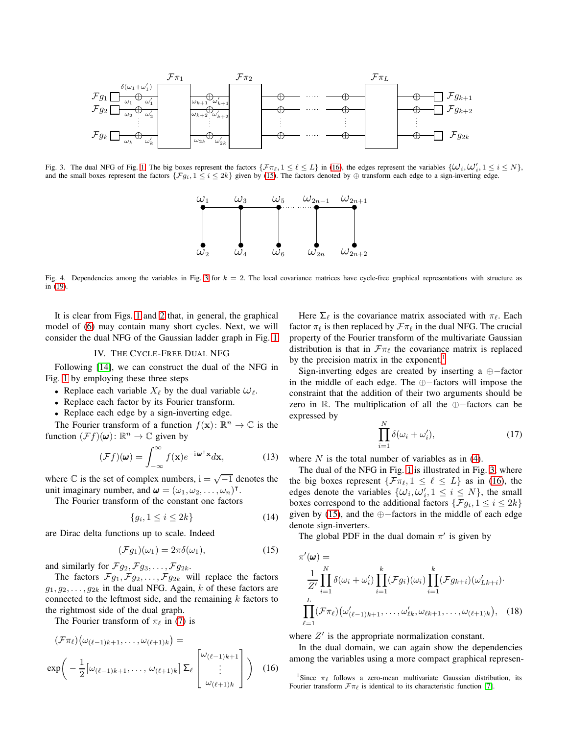

<span id="page-2-3"></span>Fig. 3. The dual NFG of Fig. [1.](#page-1-1) The big boxes represent the factors  $\{\mathcal{F}\pi_{\ell}, 1 \leq \ell \leq L\}$  in [\(16\)](#page-2-1), the edges represent the variables  $\{\mathcal{W}_i, \mathcal{W}'_i, 1 \leq i \leq N\}$ , and the small boxes represent the factors  $\{Fg_i, 1 \le i \le 2k\}$  given by [\(15\)](#page-2-2). The factors denoted by ⊕ transform each edge to a sign-inverting edge.



<span id="page-2-5"></span>Fig. 4. Dependencies among the variables in Fig. [3](#page-2-3) for  $k = 2$ . The local covariance matrices have cycle-free graphical representations with structure as in [\(19\)](#page-3-0).

It is clear from Figs. [1](#page-1-1) and [2](#page-1-4) that, in general, the graphical model of [\(6\)](#page-1-0) may contain many short cycles. Next, we will consider the dual NFG of the Gaussian ladder graph in Fig. [1.](#page-1-1)

## IV. THE CYCLE-FREE DUAL NFG

<span id="page-2-0"></span>Following [\[14\]](#page-5-11), we can construct the dual of the NFG in Fig. [1](#page-1-1) by employing these three steps

- Replace each variable  $X_{\ell}$  by the dual variable  $\omega_{\ell}$ .
- Replace each factor by its Fourier transform.
- Replace each edge by a sign-inverting edge.

The Fourier transform of a function  $f(\mathbf{x})$ :  $\mathbb{R}^n \to \mathbb{C}$  is the function  $(\mathcal{F}f)(\boldsymbol{\omega})$ :  $\mathbb{R}^n \to \mathbb{C}$  given by

$$
(\mathcal{F}f)(\boldsymbol{\omega}) = \int_{-\infty}^{\infty} f(\mathbf{x}) e^{-i\boldsymbol{\omega}^{\mathsf{T}}\mathbf{x}} d\mathbf{x},\tag{13}
$$

where  $\mathbb C$  is the set of complex numbers,  $i = \sqrt{-1}$  denotes the unit imaginary number, and  $\boldsymbol{\omega} = (\omega_1, \omega_2, \dots, \omega_n)^\intercal$ .

The Fourier transform of the constant one factors

$$
\{g_i, 1 \le i \le 2k\} \tag{14}
$$

are Dirac delta functions up to scale. Indeed

<span id="page-2-2"></span>
$$
(\mathcal{F}g_1)(\omega_1) = 2\pi\delta(\omega_1),\tag{15}
$$

and similarly for  $\mathcal{F}g_2, \mathcal{F}g_3, \ldots, \mathcal{F}g_{2k}$ .

The factors  $\mathcal{F}_{g_1}, \mathcal{F}_{g_2}, \ldots, \mathcal{F}_{g_{2k}}$  will replace the factors  $g_1, g_2, \ldots, g_{2k}$  in the dual NFG. Again, k of these factors are connected to the leftmost side, and the remaining  $k$  factors to the rightmost side of the dual graph.

The Fourier transform of  $\pi_{\ell}$  in [\(7\)](#page-1-3) is

$$
(\mathcal{F}\pi_{\ell})\big(\omega_{(\ell-1)k+1},\ldots,\omega_{(\ell+1)k}\big) =
$$
  

$$
\exp\bigg(-\frac{1}{2}\big[\omega_{(\ell-1)k+1},\ldots,\omega_{(\ell+1)k}\big]\Sigma_{\ell}\begin{bmatrix}\omega_{(\ell-1)k+1}\\\vdots\\\omega_{(\ell+1)k}\end{bmatrix}\bigg) \quad (16)
$$

Here  $\Sigma_{\ell}$  is the covariance matrix associated with  $\pi_{\ell}$ . Each factor  $\pi_{\ell}$  is then replaced by  $\mathcal{F}\pi_{\ell}$  in the dual NFG. The crucial property of the Fourier transform of the multivariate Gaussian distribution is that in  $\mathcal{F}\pi_{\ell}$  the covariance matrix is replaced by the precision matrix in the exponent.<sup>[1](#page-2-4)</sup>

Sign-inverting edges are created by inserting a ⊕−factor in the middle of each edge. The ⊕−factors will impose the constraint that the addition of their two arguments should be zero in <sup>R</sup>. The multiplication of all the ⊕−factors can be expressed by

$$
\prod_{i=1}^{N} \delta(\omega_i + \omega'_i),\tag{17}
$$

where  $N$  is the total number of variables as in [\(4\)](#page-0-3).

The dual of the NFG in Fig. [1](#page-1-1) is illustrated in Fig. [3,](#page-2-3) where the big boxes represent  $\{\mathcal{F}_{\pi_{\ell}}, 1 \leq \ell \leq L\}$  as in [\(16\)](#page-2-1), the edges denote the variables  $\{\omega_i, \omega'_i, 1 \leq i \leq N\}$ , the small boxes correspond to the additional factors  $\{\mathcal{F}g_i, 1 \leq i \leq 2k\}$ given by [\(15\)](#page-2-2), and the ⊕−factors in the middle of each edge denote sign-inverters.

The global PDF in the dual domain  $\pi'$  is given by

<span id="page-2-6"></span>
$$
\pi'(\omega) = \frac{1}{Z'} \prod_{i=1}^N \delta(\omega_i + \omega'_i) \prod_{i=1}^k (\mathcal{F}g_i)(\omega_i) \prod_{i=1}^k (\mathcal{F}g_{k+i})(\omega'_{Lk+i})
$$
  

$$
\prod_{\ell=1}^L (\mathcal{F}\pi_\ell) (\omega'_{(\ell-1)k+1}, \dots, \omega'_{\ell k}, \omega_{\ell k+1}, \dots, \omega_{(\ell+1)k}), \quad (18)
$$

where  $Z'$  is the appropriate normalization constant.

In the dual domain, we can again show the dependencies among the variables using a more compact graphical represen-

<span id="page-2-4"></span><span id="page-2-1"></span><sup>1</sup>Since  $\pi_{\ell}$  follows a zero-mean multivariate Gaussian distribution, its Fourier transform  $\mathcal{F}\pi$  is identical to its characteristic function [\[7\]](#page-5-4).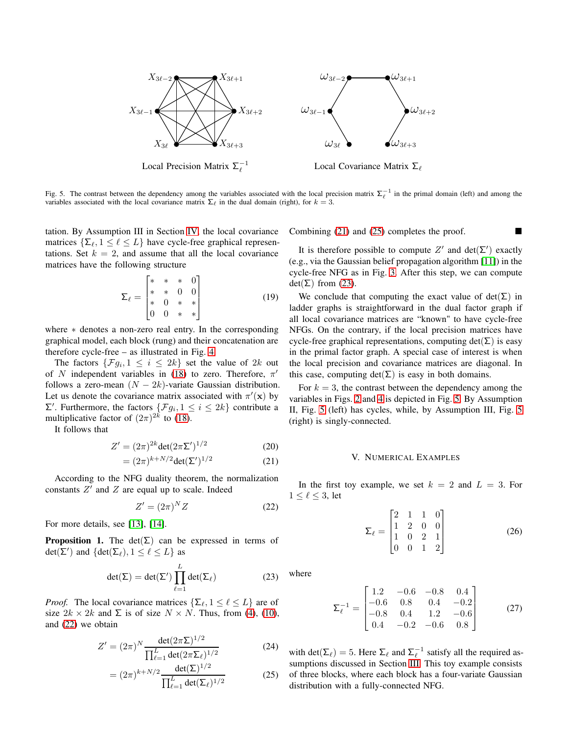

<span id="page-3-5"></span>Fig. 5. The contrast between the dependency among the variables associated with the local precision matrix  $\Sigma_{\ell}^{-1}$  in the primal domain (left) and among the variables associated with the local covariance matrix  $\Sigma_{\ell}$  in the dual domain (right), for  $k = 3$ .

tation. By Assumption III in Section [IV,](#page-2-0) the local covariance matrices  $\{\Sigma_{\ell}, 1 \leq \ell \leq L\}$  have cycle-free graphical representations. Set  $k = 2$ , and assume that all the local covariance matrices have the following structure

<span id="page-3-0"></span>
$$
\Sigma_{\ell} = \begin{bmatrix} * & * & * & 0 \\ * & * & 0 & 0 \\ * & 0 & * & * \\ 0 & 0 & * & * \end{bmatrix}
$$
 (19)

where ∗ denotes a non-zero real entry. In the corresponding graphical model, each block (rung) and their concatenation are therefore cycle-free – as illustrated in Fig. [4.](#page-2-5)

The factors  $\{\mathcal{F}g_i, 1 \leq i \leq 2k\}$  set the value of  $2k$  out of N independent variables in [\(18\)](#page-2-6) to zero. Therefore,  $\pi'$ follows a zero-mean  $(N - 2k)$ -variate Gaussian distribution. Let us denote the covariance matrix associated with  $\pi'(\mathbf{x})$  by  $Σ'$ . Furthermore, the factors { $Fg_i$ , 1 ≤ i ≤ 2k} contribute a multiplicative factor of  $(2\pi)^{2k}$  to [\(18\)](#page-2-6).

It follows that

$$
Z' = (2\pi)^{2k} \det(2\pi \Sigma')^{1/2}
$$
 (20)

$$
= (2\pi)^{k+N/2} \det(\Sigma')^{1/2} \tag{21}
$$

According to the NFG duality theorem, the normalization constants  $Z'$  and  $Z$  are equal up to scale. Indeed

<span id="page-3-1"></span>
$$
Z' = (2\pi)^N Z \tag{22}
$$

For more details, see [\[13\]](#page-5-10), [\[14\]](#page-5-11).

**Proposition 1.** The det( $\Sigma$ ) can be expressed in terms of det( $\sum'$ ) and {det( $\sum_{\ell}$ ),  $1 \leq \ell \leq L$ } as

<span id="page-3-4"></span>
$$
\det(\Sigma) = \det(\Sigma') \prod_{\ell=1}^{L} \det(\Sigma_{\ell})
$$
 (23)

*Proof.* The local covariance matrices  $\{\Sigma_{\ell}, 1 \leq \ell \leq L\}$  are of size  $2k \times 2k$  and  $\Sigma$  is of size  $N \times N$ . Thus, from [\(4\)](#page-0-3), [\(10\)](#page-1-2), and [\(22\)](#page-3-1) we obtain

$$
Z' = (2\pi)^N \frac{\det(2\pi\Sigma)^{1/2}}{\prod_{\ell=1}^L \det(2\pi\Sigma_\ell)^{1/2}}\tag{24}
$$

$$
= (2\pi)^{k+N/2} \frac{\det(\Sigma)^{1/2}}{\prod_{\ell=1}^{L} \det(\Sigma_{\ell})^{1/2}}
$$
 (25)

Combining [\(21\)](#page-3-2) and [\(25\)](#page-3-3) completes the proof.

It is therefore possible to compute  $Z'$  and  $det(\Sigma')$  exactly (e.g., via the Gaussian belief propagation algorithm [\[11\]](#page-5-8)) in the cycle-free NFG as in Fig. [3.](#page-2-3) After this step, we can compute  $det(\Sigma)$  from [\(23\)](#page-3-4).

We conclude that computing the exact value of  $det(\Sigma)$  in ladder graphs is straightforward in the dual factor graph if all local covariance matrices are "known" to have cycle-free NFGs. On the contrary, if the local precision matrices have cycle-free graphical representations, computing  $det(\Sigma)$  is easy in the primal factor graph. A special case of interest is when the local precision and covariance matrices are diagonal. In this case, computing  $det(\Sigma)$  is easy in both domains.

For  $k = 3$ , the contrast between the dependency among the variables in Figs. [2](#page-1-4) and [4](#page-2-5) is depicted in Fig. [5.](#page-3-5) By Assumption II, Fig. [5](#page-3-5) (left) has cycles, while, by Assumption III, Fig. [5](#page-3-5) (right) is singly-connected.

#### V. NUMERICAL EXAMPLES

<span id="page-3-2"></span>In the first toy example, we set  $k = 2$  and  $L = 3$ . For  $1 \leq \ell \leq 3$ , let

<span id="page-3-6"></span>
$$
\Sigma_{\ell} = \begin{bmatrix} 2 & 1 & 1 & 0 \\ 1 & 2 & 0 & 0 \\ 1 & 0 & 2 & 1 \\ 0 & 0 & 1 & 2 \end{bmatrix}
$$
 (26)

where

$$
\Sigma_{\ell}^{-1} = \begin{bmatrix} 1.2 & -0.6 & -0.8 & 0.4 \\ -0.6 & 0.8 & 0.4 & -0.2 \\ -0.8 & 0.4 & 1.2 & -0.6 \\ 0.4 & -0.2 & -0.6 & 0.8 \end{bmatrix}
$$
(27)

<span id="page-3-3"></span>with det( $\Sigma_{\ell}$ ) = 5. Here  $\Sigma_{\ell}$  and  $\Sigma_{\ell}^{-1}$  satisfy all the required assumptions discussed in Section [III.](#page-1-5) This toy example consists of three blocks, where each block has a four-variate Gaussian distribution with a fully-connected NFG.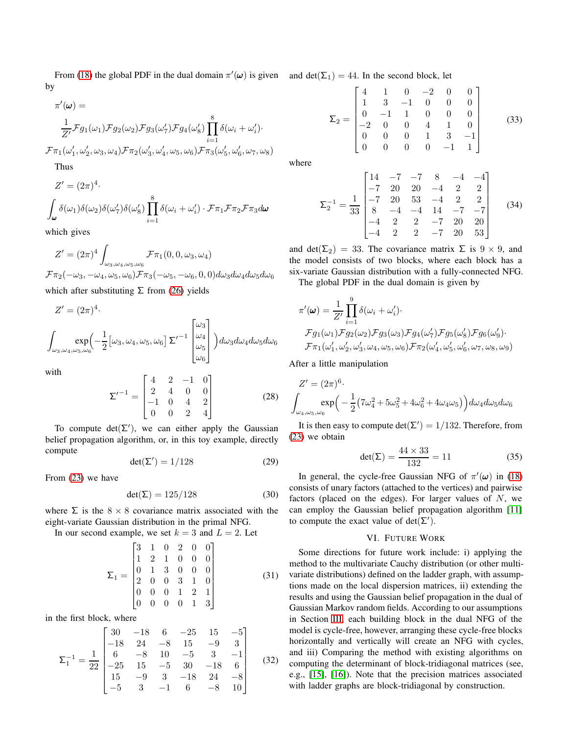From [\(18\)](#page-2-6) the global PDF in the dual domain  $\pi'(\omega)$  is given and  $\det(\Sigma_1) = 44$ . In the second block, let by

$$
\pi'(\omega) = \frac{1}{Z'} \mathcal{F}g_1(\omega_1) \mathcal{F}g_2(\omega_2) \mathcal{F}g_3(\omega'_7) \mathcal{F}g_4(\omega'_8) \prod_{i=1}^8 \delta(\omega_i + \omega'_i) \cdot \mathcal{F} \pi_1(\omega'_1, \omega'_2, \omega_3, \omega_4) \mathcal{F} \pi_2(\omega'_3, \omega'_4, \omega_5, \omega_6) \mathcal{F} \pi_3(\omega'_5, \omega'_6, \omega_7, \omega_8)
$$

Thus

$$
Z' = (2\pi)^4.
$$
  

$$
\int_{\omega} \delta(\omega_1) \delta(\omega_2) \delta(\omega_7') \delta(\omega_8') \prod_{i=1}^8 \delta(\omega_i + \omega_i') \cdot \mathcal{F} \pi_1 \mathcal{F} \pi_2 \mathcal{F} \pi_3 d\omega
$$

which gives

$$
Z' = (2\pi)^4 \int_{\omega_3, \omega_4, \omega_5, \omega_6} \mathcal{F}\pi_1(0, 0, \omega_3, \omega_4)
$$
  

$$
\mathcal{F}\pi_2(-\omega_3, -\omega_4, \omega_5, \omega_6) \mathcal{F}\pi_3(-\omega_5, -\omega_6, 0, 0) d\omega_3 d\omega_4 d\omega_5 d\omega_6
$$

which after substituting  $\Sigma$  from [\(26\)](#page-3-6) yields

$$
Z' = (2\pi)^4.
$$
  

$$
\int_{\omega_3, \omega_4, \omega_5, \omega_6} \exp\left(-\frac{1}{2} \left[\omega_3, \omega_4, \omega_5, \omega_6\right] \Sigma'^{-1} \begin{bmatrix} \omega_3 \\ \omega_4 \\ \omega_5 \\ \omega_6 \end{bmatrix}\right) d\omega_3 d\omega_4 d\omega_5 d\omega_6
$$

with

$$
\Sigma'^{-1} = \begin{bmatrix} 4 & 2 & -1 & 0 \\ 2 & 4 & 0 & 0 \\ -1 & 0 & 4 & 2 \\ 0 & 0 & 2 & 4 \end{bmatrix}
$$
 (28)

To compute  $det(\Sigma')$ , we can either apply the Gaussian belief propagation algorithm, or, in this toy example, directly compute

$$
\det(\Sigma') = 1/128\tag{29}
$$

From [\(23\)](#page-3-4) we have

$$
\det(\Sigma) = 125/128\tag{30}
$$

where  $\Sigma$  is the  $8 \times 8$  covariance matrix associated with the eight-variate Gaussian distribution in the primal NFG.

In our second example, we set  $k = 3$  and  $L = 2$ . Let

$$
\Sigma_1 = \begin{bmatrix} 3 & 1 & 0 & 2 & 0 & 0 \\ 1 & 2 & 1 & 0 & 0 & 0 \\ 0 & 1 & 3 & 0 & 0 & 0 \\ 2 & 0 & 0 & 3 & 1 & 0 \\ 0 & 0 & 0 & 1 & 2 & 1 \\ 0 & 0 & 0 & 0 & 1 & 3 \end{bmatrix}
$$
(31)

in the first block, where

$$
\Sigma_1^{-1} = \frac{1}{22} \begin{bmatrix} 30 & -18 & 6 & -25 & 15 & -5 \\ -18 & 24 & -8 & 15 & -9 & 3 \\ 6 & -8 & 10 & -5 & 3 & -1 \\ -25 & 15 & -5 & 30 & -18 & 6 \\ 15 & -9 & 3 & -18 & 24 & -8 \\ -5 & 3 & -1 & 6 & -8 & 10 \end{bmatrix}
$$
(32)

$$
\Sigma_2 = \begin{bmatrix} 4 & 1 & 0 & -2 & 0 & 0 \\ 1 & 3 & -1 & 0 & 0 & 0 \\ 0 & -1 & 1 & 0 & 0 & 0 \\ -2 & 0 & 0 & 4 & 1 & 0 \\ 0 & 0 & 0 & 1 & 3 & -1 \\ 0 & 0 & 0 & 0 & -1 & 1 \end{bmatrix}
$$
(33)

where

$$
\Sigma_2^{-1} = \frac{1}{33} \begin{bmatrix} 14 & -7 & -7 & 8 & -4 & -4 \\ -7 & 20 & 20 & -4 & 2 & 2 \\ -7 & 20 & 53 & -4 & 2 & 2 \\ 8 & -4 & -4 & 14 & -7 & -7 \\ -4 & 2 & 2 & -7 & 20 & 20 \\ -4 & 2 & 2 & -7 & 20 & 53 \end{bmatrix}
$$
(34)

and det( $\Sigma_2$ ) = 33. The covariance matrix  $\Sigma$  is  $9 \times 9$ , and the model consists of two blocks, where each block has a six-variate Gaussian distribution with a fully-connected NFG.

The global PDF in the dual domain is given by

$$
\pi'(\omega) = \frac{1}{Z'} \prod_{i=1}^{9} \delta(\omega_i + \omega'_i).
$$
  
\n
$$
\mathcal{F}g_1(\omega_1)\mathcal{F}g_2(\omega_2)\mathcal{F}g_3(\omega_3)\mathcal{F}g_4(\omega'_7)\mathcal{F}g_5(\omega'_8)\mathcal{F}g_6(\omega'_9).
$$
  
\n
$$
\mathcal{F}\pi_1(\omega'_1,\omega'_2,\omega'_3,\omega_4,\omega_5,\omega_6)\mathcal{F}\pi_2(\omega'_4,\omega'_5,\omega'_6,\omega_7,\omega_8,\omega_9)
$$

After a little manipulation

$$
Z' = (2\pi)^6.
$$
  

$$
\int_{\omega_4,\omega_5,\omega_6} \exp\left(-\frac{1}{2}\left(7\omega_4^2 + 5\omega_5^2 + 4\omega_6^2 + 4\omega_4\omega_5\right)\right) d\omega_4 d\omega_5 d\omega_6
$$

It is then easy to compute  $\det(\Sigma') = 1/132$ . Therefore, from [\(23\)](#page-3-4) we obtain

$$
\det(\Sigma) = \frac{44 \times 33}{132} = 11\tag{35}
$$

In general, the cycle-free Gaussian NFG of  $\pi'(\omega)$  in [\(18\)](#page-2-6) consists of unary factors (attached to the vertices) and pairwise factors (placed on the edges). For larger values of  $N$ , we can employ the Gaussian belief propagation algorithm [\[11\]](#page-5-8) to compute the exact value of det( $\Sigma'$ ).

# VI. FUTURE WORK

Some directions for future work include: i) applying the method to the multivariate Cauchy distribution (or other multivariate distributions) defined on the ladder graph, with assumptions made on the local dispersion matrices, ii) extending the results and using the Gaussian belief propagation in the dual of Gaussian Markov random fields. According to our assumptions in Section [III,](#page-1-5) each building block in the dual NFG of the model is cycle-free, however, arranging these cycle-free blocks horizontally and vertically will create an NFG with cycles, and iii) Comparing the method with existing algorithms on computing the determinant of block-tridiagonal matrices (see, e.g., [\[15\]](#page-5-12), [\[16\]](#page-5-13)). Note that the precision matrices associated with ladder graphs are block-tridiagonal by construction.